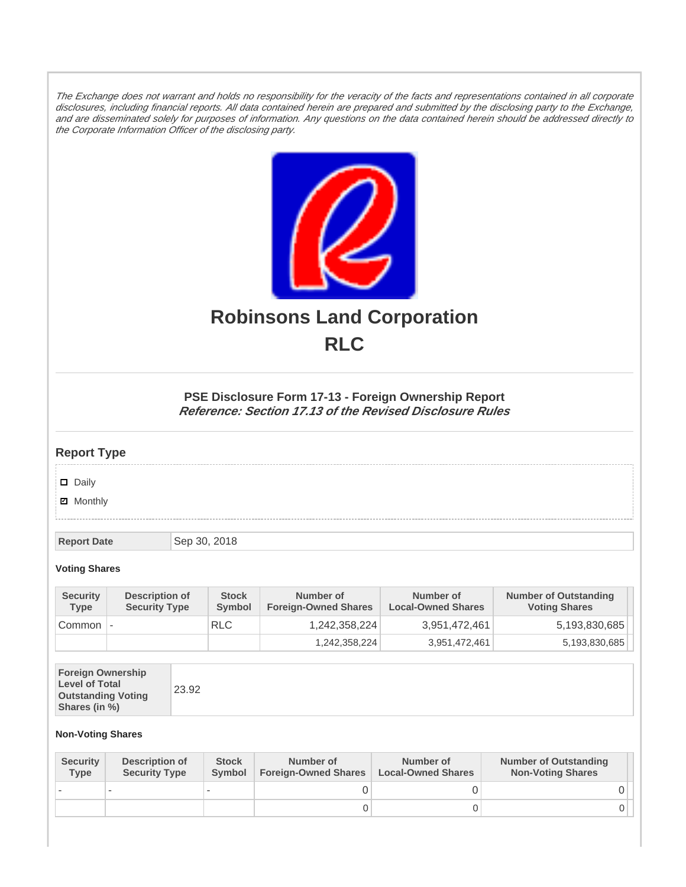The Exchange does not warrant and holds no responsibility for the veracity of the facts and representations contained in all corporate disclosures, including financial reports. All data contained herein are prepared and submitted by the disclosing party to the Exchange, and are disseminated solely for purposes of information. Any questions on the data contained herein should be addressed directly to the Corporate Information Officer of the disclosing party.



## **Robinsons Land Corporation RLC**

## **PSE Disclosure Form 17-13 - Foreign Ownership Report Reference: Section 17.13 of the Revised Disclosure Rules**

## **Report Type**

Daily

**Ø** Monthly

**Report Date** Sep 30, 2018

**Voting Shares**

| <b>Security</b><br><b>Type</b> | Description of<br><b>Security Type</b> | <b>Stock</b><br>Symbol | Number of<br><b>Foreign-Owned Shares</b> | Number of<br><b>Local-Owned Shares</b> | <b>Number of Outstanding</b><br><b>Voting Shares</b> |
|--------------------------------|----------------------------------------|------------------------|------------------------------------------|----------------------------------------|------------------------------------------------------|
| Common                         |                                        | <b>RLC</b>             | 1,242,358,224                            | 3,951,472,461                          | 5,193,830,685                                        |
|                                |                                        |                        | 1,242,358,224                            | 3,951,472,461                          | 5,193,830,685                                        |

| <b>Foreign Ownership</b><br><b>Level of Total</b><br><b>Outstanding Voting</b><br>Shares (in %) |
|-------------------------------------------------------------------------------------------------|
|-------------------------------------------------------------------------------------------------|

## **Non-Voting Shares**

| <b>Security</b><br><b>Type</b> | Description of<br><b>Security Type</b> | <b>Stock</b><br><b>Symbol</b> | Number of<br><b>Foreign-Owned Shares</b> | Number of<br><b>Local-Owned Shares</b> | <b>Number of Outstanding</b><br><b>Non-Voting Shares</b> |
|--------------------------------|----------------------------------------|-------------------------------|------------------------------------------|----------------------------------------|----------------------------------------------------------|
|                                |                                        |                               |                                          |                                        |                                                          |
|                                |                                        |                               | 0                                        |                                        |                                                          |